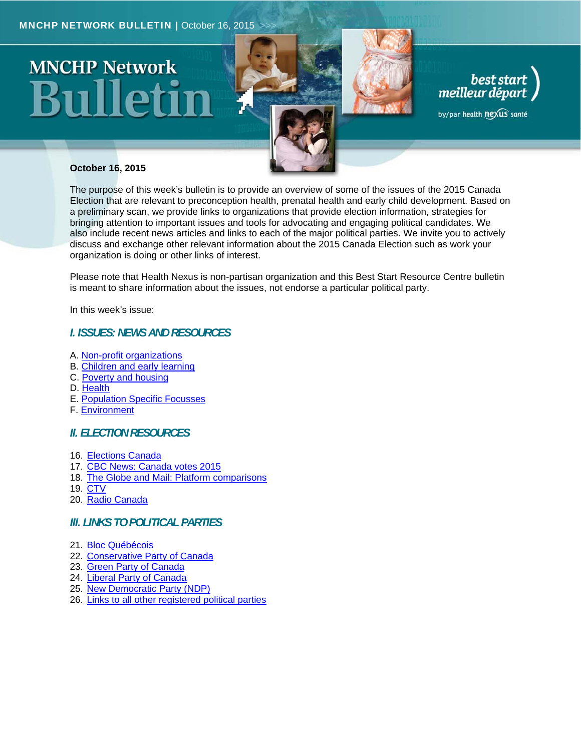# **MNCHP Network**



# best start<br>meilleur départ

by/par health nexus santé

#### **October 16, 2015**

The purpose of this week's bulletin is to provide an overview of some of the issues of the 2015 Canada Election that are relevant to preconception health, prenatal health and early child development. Based on a preliminary scan, we provide links to organizations that provide election information, strategies for bringing attention to important issues and tools for advocating and engaging political candidates. We also include recent news articles and links to each of the major political parties. We invite you to actively discuss and exchange other relevant information about the 2015 Canada Election such as work your organization is doing or other links of interest.

Please note that Health Nexus is non-partisan organization and this Best Start Resource Centre bulletin is meant to share information about the issues, not endorse a particular political party.

In this week's issue:

#### *I. ISSUES: NEWS AND RESOURCES*

- A. Non-profit organizations
- B. Children and early learning
- C. Poverty and housing
- D. Health
- E. Population Specific Focusses
- F. Environment

#### *II. ELECTION RESOURCES*

- 16. Elections Canada
- 17. CBC News: Canada votes 2015
- 18. The Globe and Mail: Platform comparisons
- 19. CTV
- 20. Radio Canada

#### *III. LINKS TO POLITICAL PARTIES*

- 21. Bloc Québécois
- 22. Conservative Party of Canada
- 23. Green Party of Canada
- 24. Liberal Party of Canada
- 25. New Democratic Party (NDP)
- 26. Links to all other registered political parties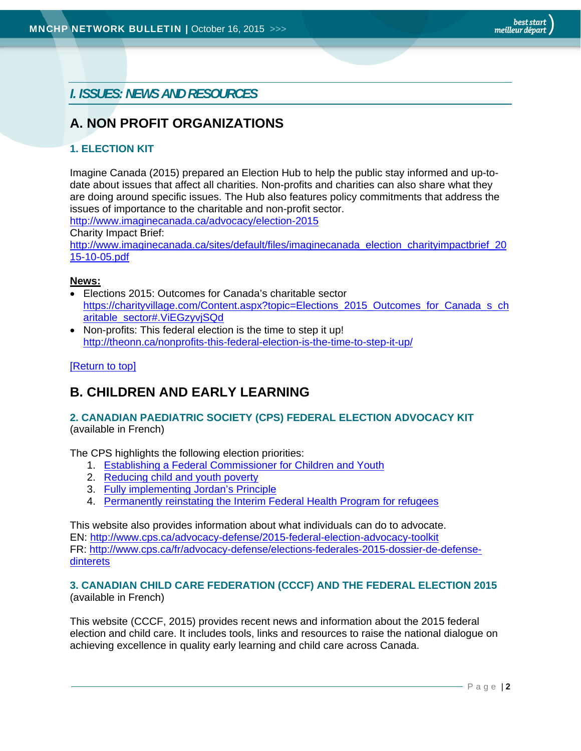*I. ISSUES: NEWS AND RESOURCES*

# **A. NON PROFIT ORGANIZATIONS**

#### **1. ELECTION KIT**

Imagine Canada (2015) prepared an Election Hub to help the public stay informed and up-todate about issues that affect all charities. Non-profits and charities can also share what they are doing around specific issues. The Hub also features policy commitments that address the issues of importance to the charitable and non-profit sector.

http://www.imaginecanada.ca/advocacy/election-2015

Charity Impact Brief:

http://www.imaginecanada.ca/sites/default/files/imaginecanada\_election\_charityimpactbrief\_20 15-10-05.pdf

#### **News:**

- Elections 2015: Outcomes for Canada's charitable sector https://charityvillage.com/Content.aspx?topic=Elections\_2015\_Outcomes\_for\_Canada\_s\_ch aritable\_sector#.ViEGzyvjSQd
- Non-profits: This federal election is the time to step it up! http://theonn.ca/nonprofits-this-federal-election-is-the-time-to-step-it-up/

#### [Return to top]

# **B. CHILDREN AND EARLY LEARNING**

#### **2. CANADIAN PAEDIATRIC SOCIETY (CPS) FEDERAL ELECTION ADVOCACY KIT**  (available in French)

The CPS highlights the following election priorities:

- 1. Establishing a Federal Commissioner for Children and Youth
- 2. Reducing child and youth poverty
- 3. Fully implementing Jordan's Principle
- 4. Permanently reinstating the Interim Federal Health Program for refugees

This website also provides information about what individuals can do to advocate. EN: http://www.cps.ca/advocacy-defense/2015-federal-election-advocacy-toolkit FR: http://www.cps.ca/fr/advocacy-defense/elections-federales-2015-dossier-de-defensedinterets

#### **3. CANADIAN CHILD CARE FEDERATION (CCCF) AND THE FEDERAL ELECTION 2015** (available in French)

This website (CCCF, 2015) provides recent news and information about the 2015 federal election and child care. It includes tools, links and resources to raise the national dialogue on achieving excellence in quality early learning and child care across Canada.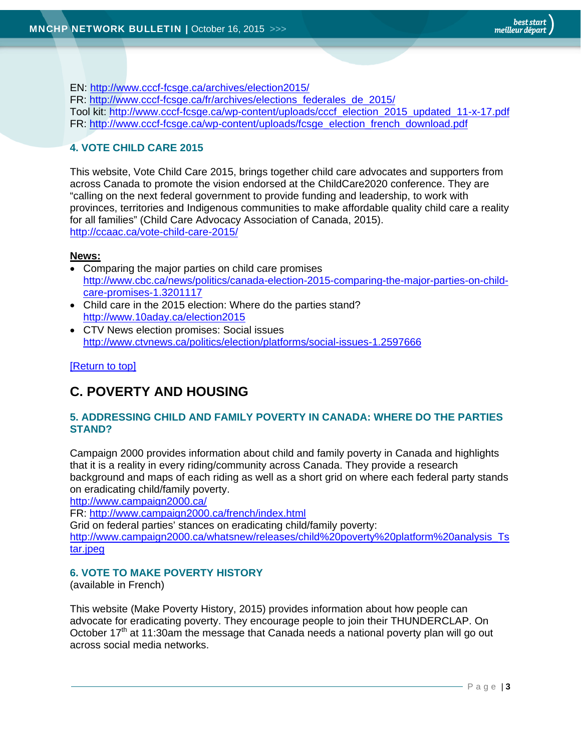EN: http://www.cccf-fcsge.ca/archives/election2015/ FR: http://www.cccf-fcsge.ca/fr/archives/elections\_federales\_de\_2015/ Tool kit: http://www.cccf-fcsge.ca/wp-content/uploads/cccf\_election\_2015\_updated\_11-x-17.pdf FR: http://www.cccf-fcsge.ca/wp-content/uploads/fcsge\_election\_french\_download.pdf

#### **4. VOTE CHILD CARE 2015**

This website, Vote Child Care 2015, brings together child care advocates and supporters from across Canada to promote the vision endorsed at the ChildCare2020 conference. They are "calling on the next federal government to provide funding and leadership, to work with provinces, territories and Indigenous communities to make affordable quality child care a reality for all families" (Child Care Advocacy Association of Canada, 2015). http://ccaac.ca/vote-child-care-2015/

#### **News:**

- Comparing the major parties on child care promises http://www.cbc.ca/news/politics/canada-election-2015-comparing-the-major-parties-on-childcare-promises-1.3201117
- Child care in the 2015 election: Where do the parties stand? http://www.10aday.ca/election2015
- CTV News election promises: Social issues http://www.ctvnews.ca/politics/election/platforms/social-issues-1.2597666

#### [Return to top]

# **C. POVERTY AND HOUSING**

#### **5. ADDRESSING CHILD AND FAMILY POVERTY IN CANADA: WHERE DO THE PARTIES STAND?**

Campaign 2000 provides information about child and family poverty in Canada and highlights that it is a reality in every riding/community across Canada. They provide a research background and maps of each riding as well as a short grid on where each federal party stands on eradicating child/family poverty.

http://www.campaign2000.ca/

FR: http://www.campaign2000.ca/french/index.html

Grid on federal parties' stances on eradicating child/family poverty: http://www.campaign2000.ca/whatsnew/releases/child%20poverty%20platform%20analysis\_Ts tar.ipeg

#### **6. VOTE TO MAKE POVERTY HISTORY**

(available in French)

This website (Make Poverty History, 2015) provides information about how people can advocate for eradicating poverty. They encourage people to join their THUNDERCLAP. On October  $17<sup>th</sup>$  at 11:30am the message that Canada needs a national poverty plan will go out across social media networks.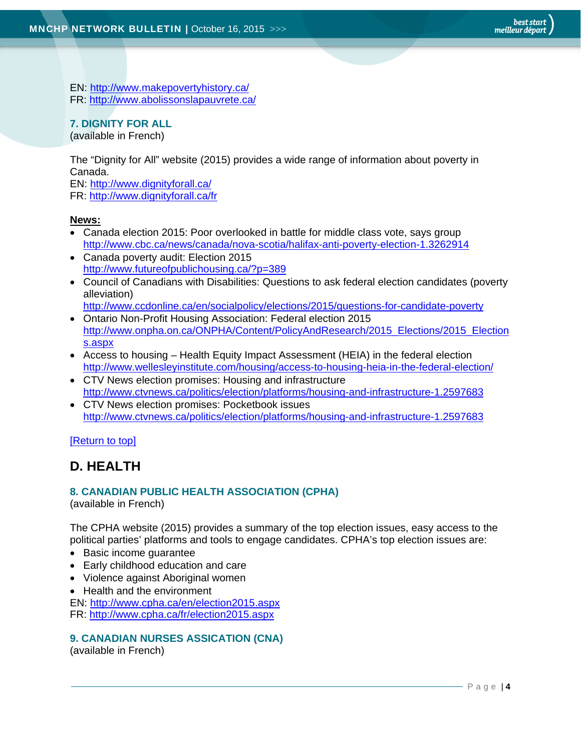EN: http://www.makepovertyhistory.ca/ FR: http://www.abolissonslapauvrete.ca/

#### **7. DIGNITY FOR ALL**

(available in French)

The "Dignity for All" website (2015) provides a wide range of information about poverty in Canada.

EN: http://www.dignityforall.ca/ FR: http://www.dignityforall.ca/fr

#### **News:**

- Canada election 2015: Poor overlooked in battle for middle class vote, says group http://www.cbc.ca/news/canada/nova-scotia/halifax-anti-poverty-election-1.3262914
- Canada poverty audit: Election 2015 http://www.futureofpublichousing.ca/?p=389
- Council of Canadians with Disabilities: Questions to ask federal election candidates (poverty alleviation)
	- http://www.ccdonline.ca/en/socialpolicy/elections/2015/questions-for-candidate-poverty
- Ontario Non-Profit Housing Association: Federal election 2015 http://www.onpha.on.ca/ONPHA/Content/PolicyAndResearch/2015\_Elections/2015\_Election s.aspx
- Access to housing Health Equity Impact Assessment (HEIA) in the federal election http://www.wellesleyinstitute.com/housing/access-to-housing-heia-in-the-federal-election/
- CTV News election promises: Housing and infrastructure http://www.ctvnews.ca/politics/election/platforms/housing-and-infrastructure-1.2597683
- CTV News election promises: Pocketbook issues http://www.ctvnews.ca/politics/election/platforms/housing-and-infrastructure-1.2597683

[Return to top]

# **D. HEALTH**

#### **8. CANADIAN PUBLIC HEALTH ASSOCIATION (CPHA)**

(available in French)

The CPHA website (2015) provides a summary of the top election issues, easy access to the political parties' platforms and tools to engage candidates. CPHA's top election issues are:

- Basic income guarantee
- Early childhood education and care
- Violence against Aboriginal women
- Health and the environment

EN: http://www.cpha.ca/en/election2015.aspx FR: http://www.cpha.ca/fr/election2015.aspx

#### **9. CANADIAN NURSES ASSICATION (CNA)**

(available in French)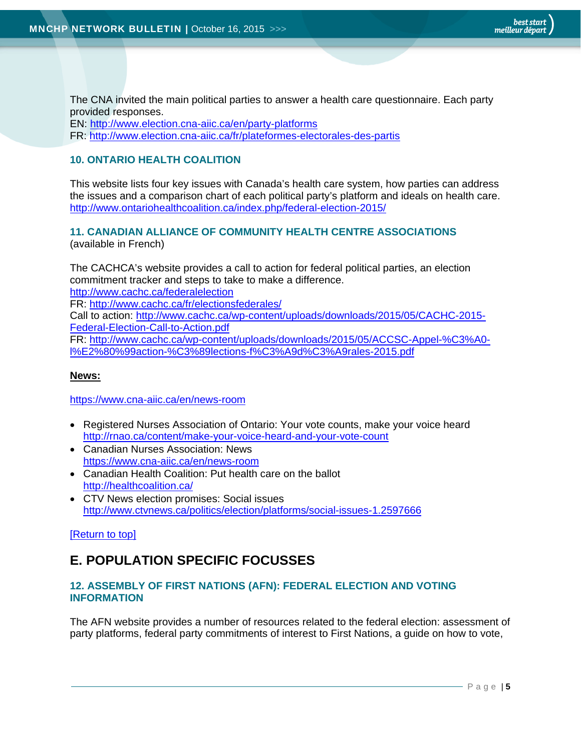The CNA invited the main political parties to answer a health care questionnaire. Each party provided responses.

EN: http://www.election.cna-aiic.ca/en/party-platforms FR: http://www.election.cna-aiic.ca/fr/plateformes-electorales-des-partis

#### **10. ONTARIO HEALTH COALITION**

This website lists four key issues with Canada's health care system, how parties can address the issues and a comparison chart of each political party's platform and ideals on health care. http://www.ontariohealthcoalition.ca/index.php/federal-election-2015/

# **11. CANADIAN ALLIANCE OF COMMUNITY HEALTH CENTRE ASSOCIATIONS**

(available in French)

The CACHCA's website provides a call to action for federal political parties, an election commitment tracker and steps to take to make a difference. http://www.cachc.ca/federalelection

FR: http://www.cachc.ca/fr/electionsfederales/

Call to action: http://www.cachc.ca/wp-content/uploads/downloads/2015/05/CACHC-2015- Federal-Election-Call-to-Action.pdf

FR: http://www.cachc.ca/wp-content/uploads/downloads/2015/05/ACCSC-Appel-%C3%A0 l%E2%80%99action-%C3%89lections-f%C3%A9d%C3%A9rales-2015.pdf

#### **News:**

https://www.cna-aiic.ca/en/news-room

- Registered Nurses Association of Ontario: Your vote counts, make your voice heard http://rnao.ca/content/make-your-voice-heard-and-your-vote-count
- Canadian Nurses Association: News https://www.cna-aiic.ca/en/news-room
- Canadian Health Coalition: Put health care on the ballot http://healthcoalition.ca/
- CTV News election promises: Social issues http://www.ctvnews.ca/politics/election/platforms/social-issues-1.2597666

#### [Return to top]

# **E. POPULATION SPECIFIC FOCUSSES**

#### **12. ASSEMBLY OF FIRST NATIONS (AFN): FEDERAL ELECTION AND VOTING INFORMATION**

The AFN website provides a number of resources related to the federal election: assessment of party platforms, federal party commitments of interest to First Nations, a guide on how to vote,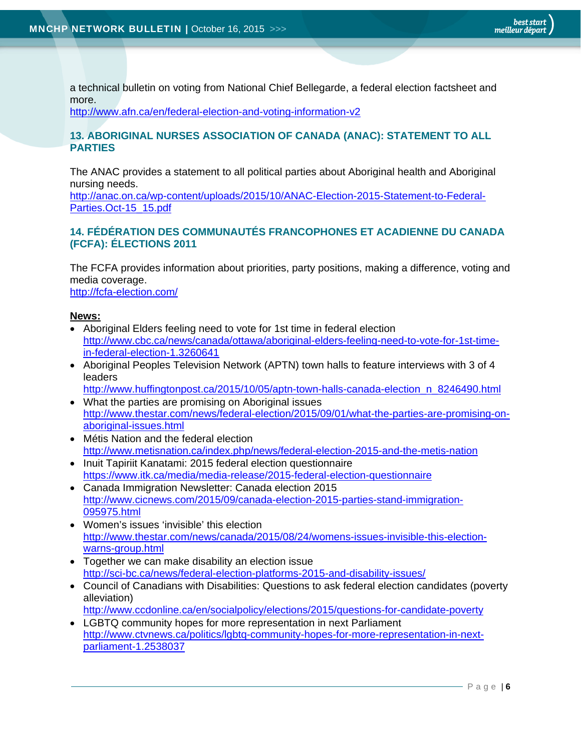a technical bulletin on voting from National Chief Bellegarde, a federal election factsheet and more.

http://www.afn.ca/en/federal-election-and-voting-information-v2

#### **13. ABORIGINAL NURSES ASSOCIATION OF CANADA (ANAC): STATEMENT TO ALL PARTIES**

The ANAC provides a statement to all political parties about Aboriginal health and Aboriginal nursing needs.

http://anac.on.ca/wp-content/uploads/2015/10/ANAC-Election-2015-Statement-to-Federal-Parties.Oct-15\_15.pdf

#### **14. FÉDÉRATION DES COMMUNAUTÉS FRANCOPHONES ET ACADIENNE DU CANADA (FCFA): ÉLECTIONS 2011**

The FCFA provides information about priorities, party positions, making a difference, voting and media coverage. http://fcfa-election.com/

#### **News:**

- Aboriginal Elders feeling need to vote for 1st time in federal election http://www.cbc.ca/news/canada/ottawa/aboriginal-elders-feeling-need-to-vote-for-1st-timein-federal-election-1.3260641
- Aboriginal Peoples Television Network (APTN) town halls to feature interviews with 3 of 4 leaders http://www.huffingtonpost.ca/2015/10/05/aptn-town-halls-canada-election\_n\_8246490.html
- What the parties are promising on Aboriginal issues http://www.thestar.com/news/federal-election/2015/09/01/what-the-parties-are-promising-onaboriginal-issues.html
- Métis Nation and the federal election http://www.metisnation.ca/index.php/news/federal-election-2015-and-the-metis-nation
- Inuit Tapiriit Kanatami: 2015 federal election questionnaire https://www.itk.ca/media/media-release/2015-federal-election-questionnaire
- Canada Immigration Newsletter: Canada election 2015 http://www.cicnews.com/2015/09/canada-election-2015-parties-stand-immigration-095975.html
- Women's issues 'invisible' this election http://www.thestar.com/news/canada/2015/08/24/womens-issues-invisible-this-electionwarns-group.html
- Together we can make disability an election issue http://sci-bc.ca/news/federal-election-platforms-2015-and-disability-issues/
- Council of Canadians with Disabilities: Questions to ask federal election candidates (poverty alleviation)

http://www.ccdonline.ca/en/socialpolicy/elections/2015/questions-for-candidate-poverty

 LGBTQ community hopes for more representation in next Parliament http://www.ctvnews.ca/politics/lgbtq-community-hopes-for-more-representation-in-nextparliament-1.2538037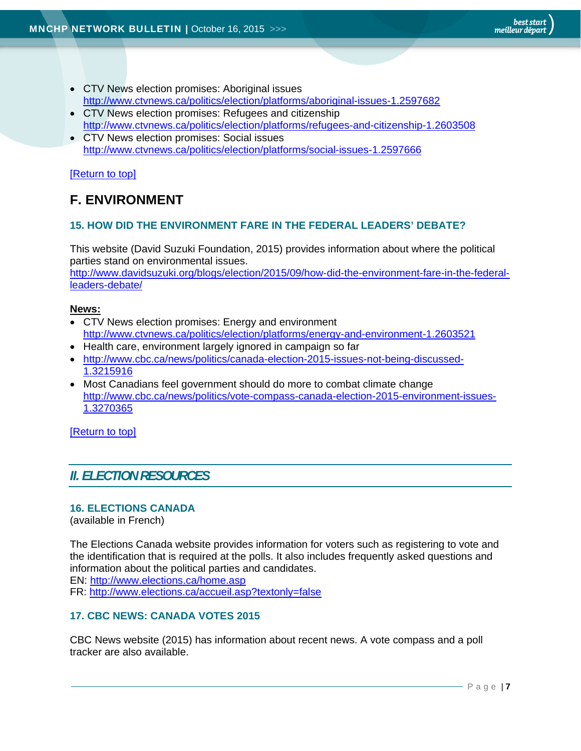- CTV News election promises: Aboriginal issues http://www.ctvnews.ca/politics/election/platforms/aboriginal-issues-1.2597682
- CTV News election promises: Refugees and citizenship http://www.ctvnews.ca/politics/election/platforms/refugees-and-citizenship-1.2603508
- CTV News election promises: Social issues http://www.ctvnews.ca/politics/election/platforms/social-issues-1.2597666

#### [Return to top]

# **F. ENVIRONMENT**

#### **15. HOW DID THE ENVIRONMENT FARE IN THE FEDERAL LEADERS' DEBATE?**

This website (David Suzuki Foundation, 2015) provides information about where the political parties stand on environmental issues. http://www.davidsuzuki.org/blogs/election/2015/09/how-did-the-environment-fare-in-the-federalleaders-debate/

#### **News:**

- CTV News election promises: Energy and environment http://www.ctvnews.ca/politics/election/platforms/energy-and-environment-1.2603521
- Health care, environment largely ignored in campaign so far
- http://www.cbc.ca/news/politics/canada-election-2015-issues-not-being-discussed-1.3215916
- Most Canadians feel government should do more to combat climate change http://www.cbc.ca/news/politics/vote-compass-canada-election-2015-environment-issues-1.3270365

[Return to top]

### *II. ELECTION RESOURCES*

#### **16. ELECTIONS CANADA**

(available in French)

The Elections Canada website provides information for voters such as registering to vote and the identification that is required at the polls. It also includes frequently asked questions and information about the political parties and candidates.

EN: http://www.elections.ca/home.asp

FR: http://www.elections.ca/accueil.asp?textonly=false

#### **17. CBC NEWS: CANADA VOTES 2015**

CBC News website (2015) has information about recent news. A vote compass and a poll tracker are also available.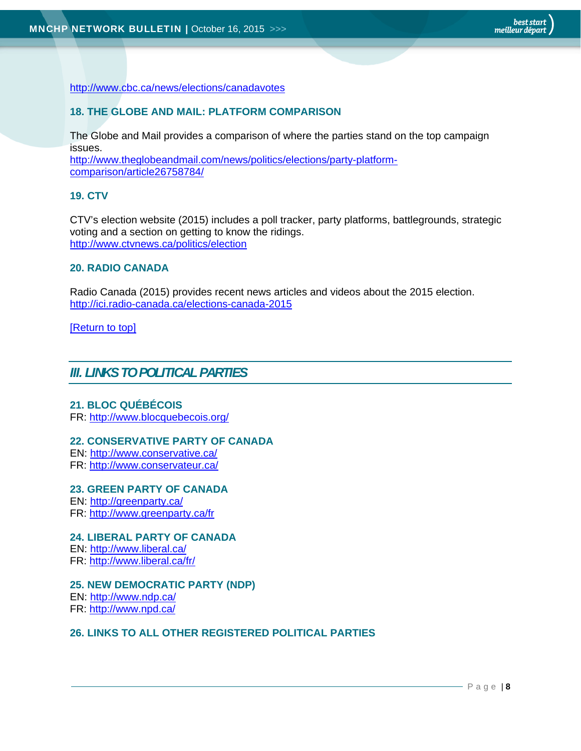http://www.cbc.ca/news/elections/canadavotes

#### **18. THE GLOBE AND MAIL: PLATFORM COMPARISON**

The Globe and Mail provides a comparison of where the parties stand on the top campaign issues.

http://www.theglobeandmail.com/news/politics/elections/party-platformcomparison/article26758784/

#### **19. CTV**

CTV's election website (2015) includes a poll tracker, party platforms, battlegrounds, strategic voting and a section on getting to know the ridings. http://www.ctvnews.ca/politics/election

#### **20. RADIO CANADA**

Radio Canada (2015) provides recent news articles and videos about the 2015 election. http://ici.radio-canada.ca/elections-canada-2015

[Return to top]

#### *III. LINKS TO POLITICAL PARTIES*

#### **21. BLOC QUÉBÉCOIS**

FR: http://www.blocquebecois.org/

#### **22. CONSERVATIVE PARTY OF CANADA**

EN: http://www.conservative.ca/ FR: http://www.conservateur.ca/

#### **23. GREEN PARTY OF CANADA**

EN: http://greenparty.ca/

FR: http://www.greenparty.ca/fr

#### **24. LIBERAL PARTY OF CANADA**

EN: http://www.liberal.ca/ FR: http://www.liberal.ca/fr/

#### **25. NEW DEMOCRATIC PARTY (NDP)**

EN: http://www.ndp.ca/ FR: http://www.npd.ca/

#### **26. LINKS TO ALL OTHER REGISTERED POLITICAL PARTIES**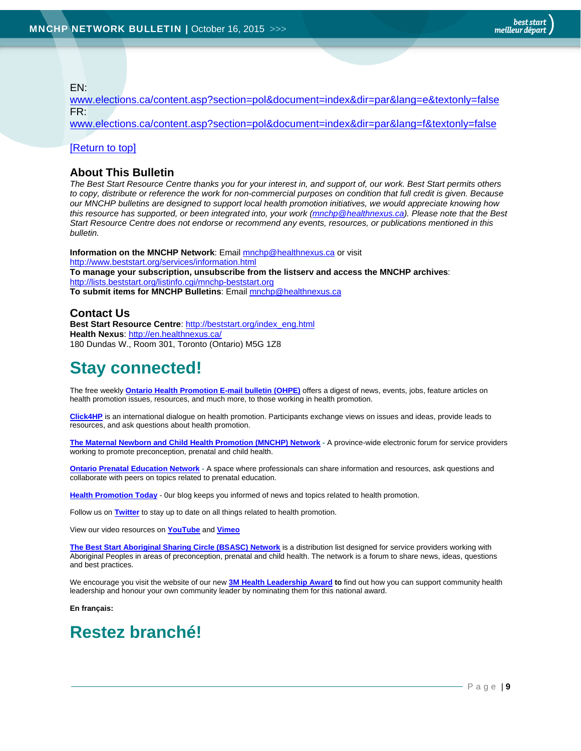EN:

www.elections.ca/content.asp?section=pol&document=index&dir=par&lang=e&textonly=false FR:

www.elections.ca/content.asp?section=pol&document=index&dir=par&lang=f&textonly=false

#### [Return to top]

#### **About This Bulletin**

*The Best Start Resource Centre thanks you for your interest in, and support of, our work. Best Start permits others to copy, distribute or reference the work for non-commercial purposes on condition that full credit is given. Because our MNCHP bulletins are designed to support local health promotion initiatives, we would appreciate knowing how this resource has supported, or been integrated into, your work (mnchp@healthnexus.ca). Please note that the Best Start Resource Centre does not endorse or recommend any events, resources, or publications mentioned in this bulletin.* 

**Information on the MNCHP Network**: Email mnchp@healthnexus.ca or visit http://www.beststart.org/services/information.html **To manage your subscription, unsubscribe from the listserv and access the MNCHP archives**: http://lists.beststart.org/listinfo.cgi/mnchp-beststart.org **To submit items for MNCHP Bulletins**: Email mnchp@healthnexus.ca

#### **Contact Us**

**Best Start Resource Centre: http://beststart.org/index\_eng.html Health Nexus**: http://en.healthnexus.ca/ 180 Dundas W., Room 301, Toronto (Ontario) M5G 1Z8

# **Stay connected!**

The free weekly **Ontario Health Promotion E-mail bulletin (OHPE)** offers a digest of news, events, jobs, feature articles on health promotion issues, resources, and much more, to those working in health promotion.

**Click4HP** is an international dialogue on health promotion. Participants exchange views on issues and ideas, provide leads to resources, and ask questions about health promotion.

**The Maternal Newborn and Child Health Promotion (MNCHP) Network -** A province-wide electronic forum for service providers working to promote preconception, prenatal and child health.

**Ontario Prenatal Education Network -** A space where professionals can share information and resources, ask questions and collaborate with peers on topics related to prenatal education.

**Health Promotion Today** - 0ur blog keeps you informed of news and topics related to health promotion.

Follow us on **Twitter** to stay up to date on all things related to health promotion.

View our video resources on **YouTube** and **Vimeo** 

**The Best Start Aboriginal Sharing Circle (BSASC) Network** is a distribution list designed for service providers working with Aboriginal Peoples in areas of preconception, prenatal and child health. The network is a forum to share news, ideas, questions and best practices.

We encourage you visit the website of our new **3M Health Leadership Award to** find out how you can support community health leadership and honour your own community leader by nominating them for this national award.

**En français:** 

# **Restez branché!**